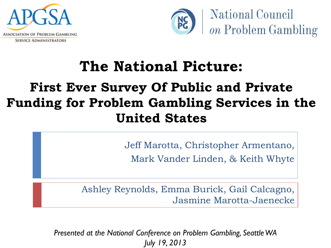



## **The National Picture:**

## **First Ever Survey Of Public and Private Funding for Problem Gambling Services in the United States**

Jeff Marotta, Christopher Armentano, Mark Vander Linden, & Keith Whyte

Ashley Reynolds, Emma Burick, Gail Calcagno, Jasmine Marotta-Jaenecke

*Presented at the National Conference on Problem Gambling, Seattle WA July 19, 2013*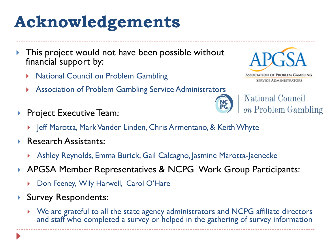# **Acknowledgements**

- This project would not have been possible without financial support by:
	- National Council on Problem Gambling
	- Association of Problem Gambling Service Administrators
- Project Executive Team:
	- ▶ Jeff Marotta, Mark Vander Linden, Chris Armentano, & Keith Whyte
- Research Assistants:
	- Ashley Reynolds, Emma Burick, Gail Calcagno, Jasmine Marotta-Jaenecke
- APGSA Member Representatives & NCPG Work Group Participants:
	- Don Feeney, Wily Harwell, Carol O'Hare
- Survey Respondents:
	- We are grateful to all the state agency administrators and NCPG affiliate directors and staff who completed a survey or helped in the gathering of survey information





**National Council** on Problem Gambling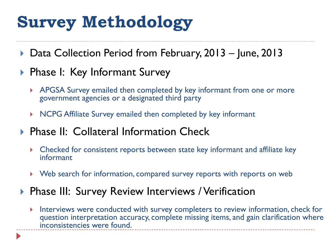# **Survey Methodology**

▶ Data Collection Period from February, 2013 – June, 2013

#### ▶ Phase I: Key Informant Survey

- APGSA Survey emailed then completed by key informant from one or more government agencies or a designated third party
- ▶ NCPG Affiliate Survey emailed then completed by key informant
- ▶ Phase II: Collateral Information Check
	- Checked for consistent reports between state key informant and affiliate key informant
	- Web search for information, compared survey reports with reports on web

#### **Phase III: Survey Review Interviews / Verification**

Interviews were conducted with survey completers to review information, check for question interpretation accuracy, complete missing items, and gain clarification where inconsistencies were found.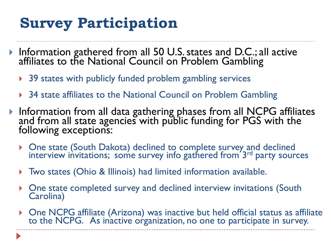## **Survey Participation**

- Information gathered from all 50 U.S. states and D.C.; all active affiliates to the National Council on Problem Gambling
	- ▶ 39 states with publicly funded problem gambling services
	- ▶ 34 state affiliates to the National Council on Problem Gambling
- Information from all data gathering phases from all NCPG affiliates and from all state agencies with public funding for PGS with the following exceptions:
	- One state (South Dakota) declined to complete survey and declined interview invitations; some survey info gathered from 3rd party sources
	- Two states (Ohio & Illinois) had limited information available.
	- One state completed survey and declined interview invitations (South Carolina)
	- One NCPG affiliate (Arizona) was inactive but held official status as affiliate to the NCPG. As inactive organization, no one to participate in survey.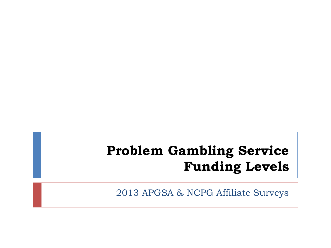## **Problem Gambling Service Funding Levels**

2013 APGSA & NCPG Affiliate Surveys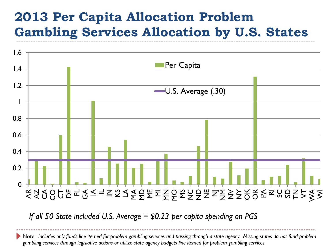#### **2013 Per Capita Allocation Problem Gambling Services Allocation by U.S. States**



*If all 50 State included U.S. Average = \$0.23 per capita spending on PGS*

Note: *Includes only funds line itemed for problem gambling services and passing through a state agency. Missing states do not fund problem gambling services through legislative actions or utilize state agency budgets line itemed for problem gambling services*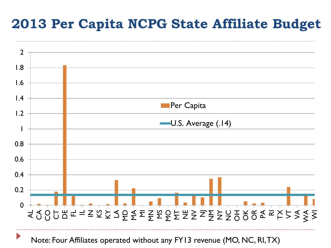#### **2013 Per Capita NCPG State Affiliate Budget**



Note: Four Affiliates operated without any FY13 revenue (MO, NC, RI, TX)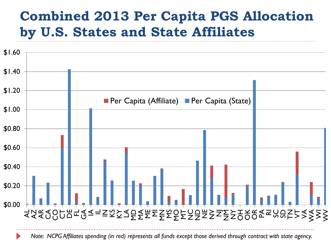#### **Combined 2013 Per Capita PGS Allocation by U.S. States and State Affiliates**



*Note: NCPG Affiliates spending (in red) represents all funds except those derived through contract with state agency.*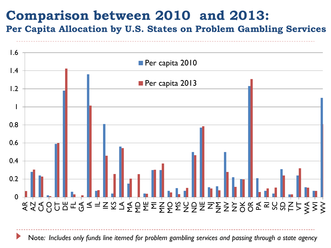#### **Comparison between 2010 and 2013:**

**Per Capita Allocation by U.S. States on Problem Gambling Services**



Note*: Includes only funds line itemed for problem gambling services and passing through a state agency*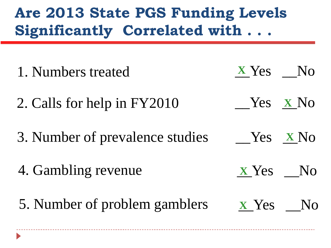## **Are 2013 State PGS Funding Levels Significantly Correlated with . . .**

| 1. Numbers treated              | $X Yes$ No      |
|---------------------------------|-----------------|
| 2. Calls for help in FY2010     | $Yes \times No$ |
| 3. Number of prevalence studies | Yes XNo         |
| 4. Gambling revenue             | <b>x</b> Yes No |
| 5. Number of problem gamblers   | <b>x</b> Yes No |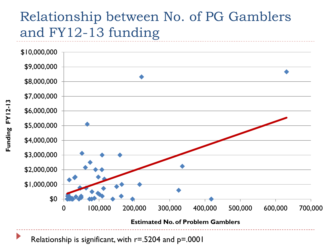## Relationship between No. of PG Gamblers and FY12-13 funding



Relationship is significant, with  $r = 0.5204$  and  $p = 0.0001$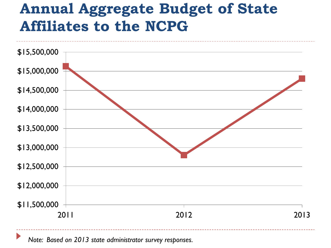## **Annual Aggregate Budget of State Affiliates to the NCPG**



*Note: Based on 2013 state administrator survey responses.*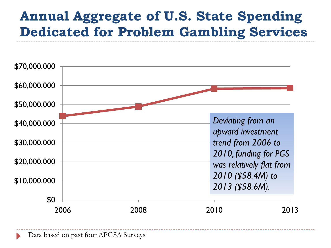#### **Annual Aggregate of U.S. State Spending Dedicated for Problem Gambling Services**

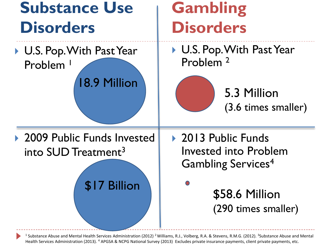

<sup>1</sup> Substance Abuse and Mental Health Services Administration (2012) <sup>2</sup> Williams, R.J., Volberg, R.A. & Stevens, R.M.G. (2012). <sup>3</sup>Substance Abuse and Mental Health Services Administration (2013). <sup>4</sup> APGSA & NCPG National Survey (2013) Excludes private insurance payments, client private payments, etc.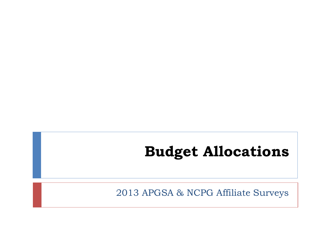## **Budget Allocations**

2013 APGSA & NCPG Affiliate Surveys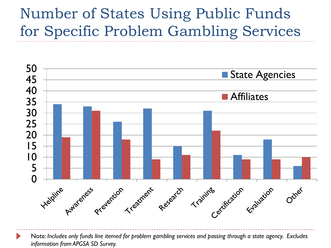## Number of States Using Public Funds for Specific Problem Gambling Services



Note: *Includes only funds line itemed for problem gambling services and passing through a state agency. Excludes information from APGSA SD Survey.*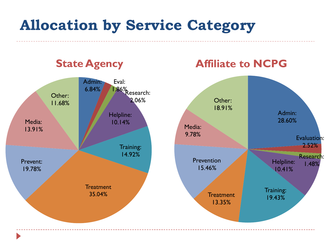## **Allocation by Service Category**

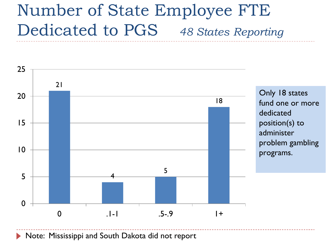# Number of State Employee FTE Dedicated to PGS *48 States Reporting*



Note: Mississippi and South Dakota did not report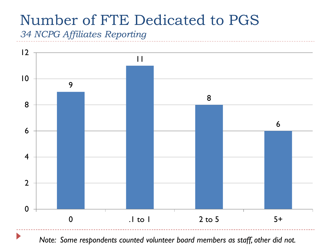## Number of FTE Dedicated to PGS

*34 NCPG Affiliates Reporting*



*Note: Some respondents counted volunteer board members as staff, other did not.*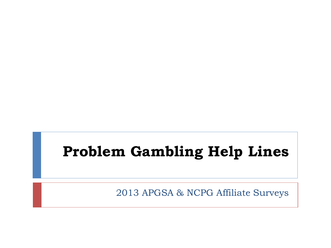## **Problem Gambling Help Lines**

2013 APGSA & NCPG Affiliate Surveys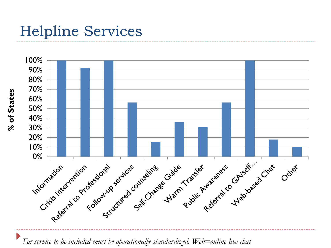## Helpline Services



*For service to be included must be operationally standardized. Web=online live chat*

**% of States**  % of States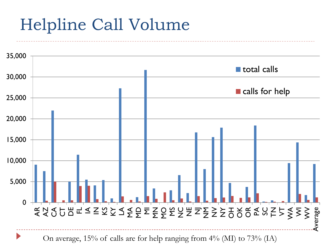# Helpline Call Volume

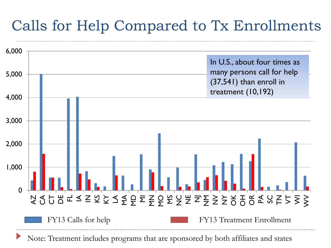## Calls for Help Compared to Tx Enrollments

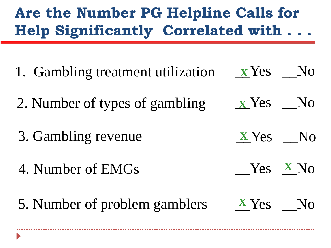## **Are the Number PG Helpline Calls for Help Significantly Correlated with . . .**

1. Gambling treatment utilization 2. Number of types of gambling 3. Gambling revenue 4. Number of EMGs \_\_Yes \_\_No **X** \_\_Yes \_\_No **X**  $Yes$  X<sub>No</sub> **X** Yes No 5. Number of problem gamblers  $\overline{X}$  Yes No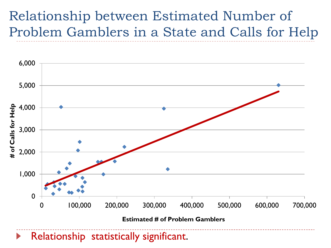#### Relationship between Estimated Number of Problem Gamblers in a State and Calls for Help

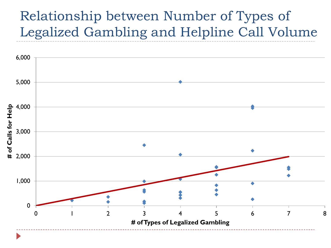#### Relationship between Number of Types of Legalized Gambling and Helpline Call Volume

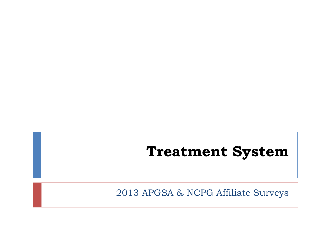#### **Treatment System**

2013 APGSA & NCPG Affiliate Surveys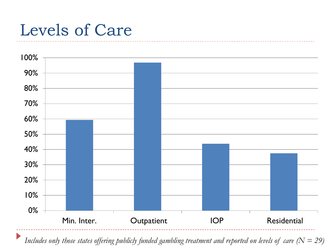# Levels of Care



*Includes only those states offering publicly funded gambling treatment and reported on levels of care (N = 29)*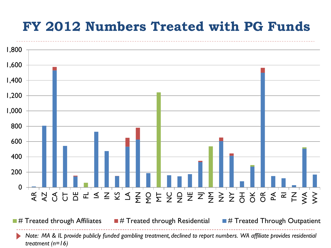#### **FY 2012 Numbers Treated with PG Funds**



*Note: MA & IL provide publicly funded gambling treatment, declined to report numbers. WA affiliate provides residential treatment (n=16)*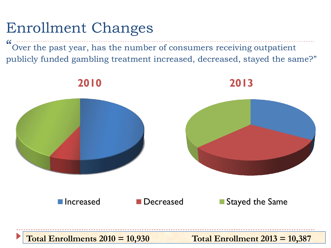## Enrollment Changes

 $\epsilon$ Over the past year, has the number of consumers receiving outpatient publicly funded gambling treatment increased, decreased, stayed the same?"

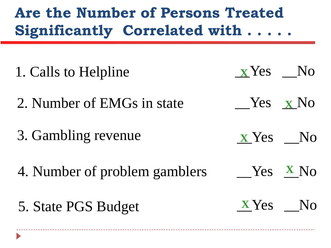## **Are the Number of Persons Treated Significantly Correlated with . . . . .**

1. Calls to Helpline 2. Number of EMGs in state 3. Gambling revenue 4. Number of problem gamblers  $Yes$  **X** No \_\_Yes \_\_No **X**  $Yes$  X<sub>No</sub> **X** Yes No 5. State PGS Budget **X**Yes No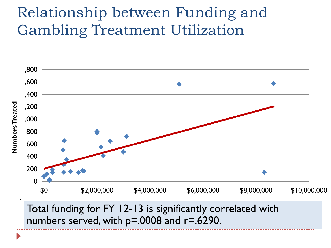## Relationship between Funding and Gambling Treatment Utilization



Total funding for FY 12-13 is significantly correlated with numbers served, with p=.0008 and r=.6290.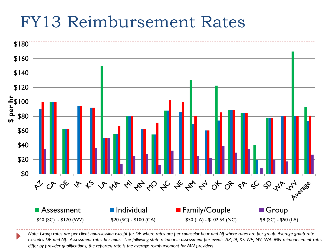## FY13 Reimbursement Rates



*Note: Group rates are per client hour/session except for DE where rates are per counselor hour and NJ where rates are per group. Average group rate excludes DE and NJ. Assessment rates per hour. The following state reimburse assessment per event: AZ, IA, KS, NE, NV, WA. MN reimbursement rates differ by provider qualifications, the reported rate is the average reimbursement for MN providers.*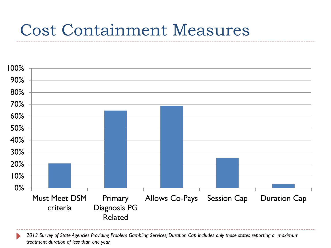## Cost Containment Measures



*2013 Survey of State Agencies Providing Problem Gambling Services; Duration Cap includes only those states reporting a maximum treatment duration of less than one year.*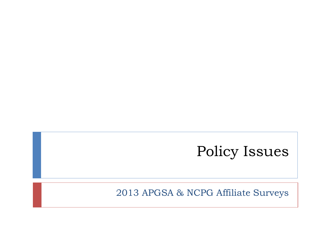## Policy Issues

2013 APGSA & NCPG Affiliate Surveys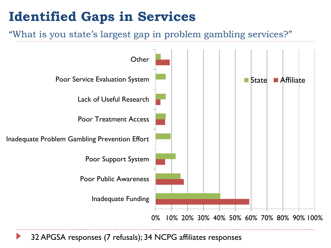#### **Identified Gaps in Services**

#### "What is you state's largest gap in problem gambling services?"



32 APGSA responses (7 refusals); 34 NCPG affiliates responses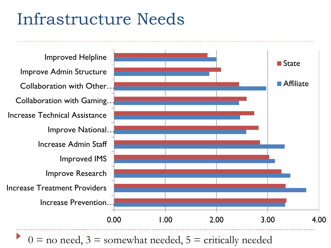# Infrastructure Needs



 $0 =$  no need,  $3 =$  somewhat needed,  $5 =$  critically needed